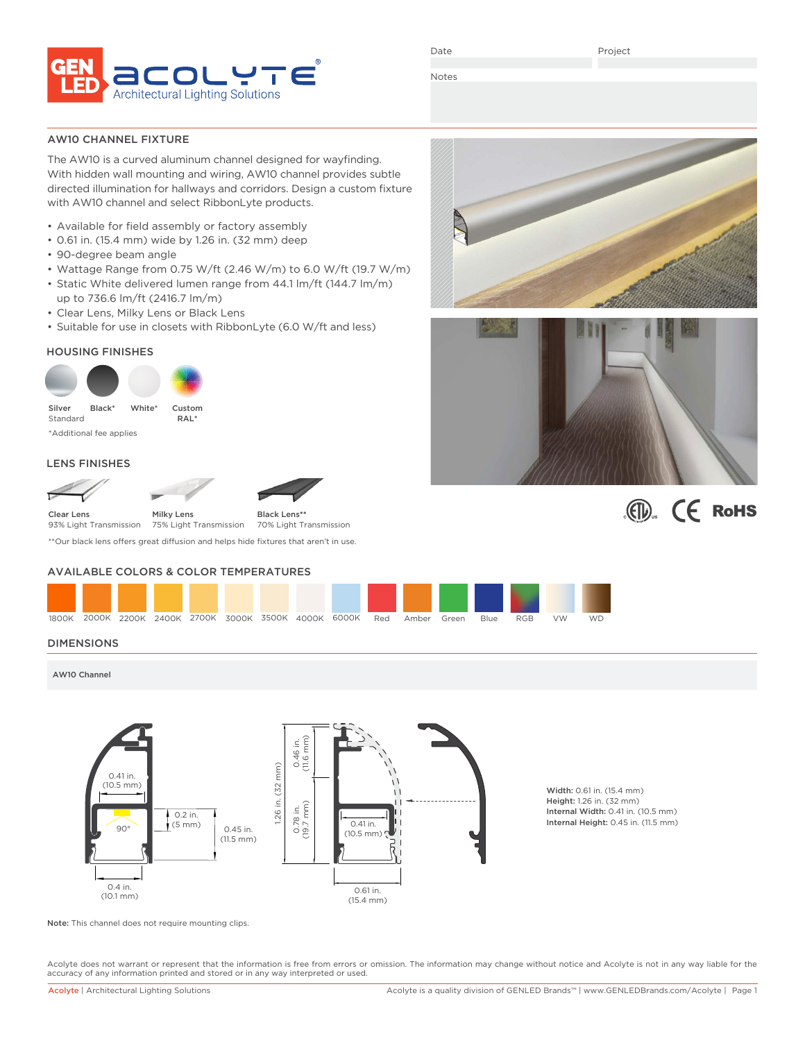

Date

Project

Notes

### AW10 CHANNEL FIXTURE

The AW10 is a curved aluminum channel designed for wayfinding. With hidden wall mounting and wiring, AW10 channel provides subtle directed illumination for hallways and corridors. Design a custom fixture with AW10 channel and select RibbonLyte products.

- Available for field assembly or factory assembly
- 0.61 in. (15.4 mm) wide by 1.26 in. (32 mm) deep
- 90-degree beam angle
- Wattage Range from 0.75 W/ft (2.46 W/m) to 6.0 W/ft (19.7 W/m)
- Static White delivered lumen range from 44.1 lm/ft (144.7 lm/m) up to 736.6 lm/ft (2416.7 lm/m)
- Clear Lens, Milky Lens or Black Lens
- Suitable for use in closets with RibbonLyte (6.0 W/ft and less)

### HOUSING FINISHES



\*Additional fee applies

### LENS FINISHES





\*\*Our black lens offers great diffusion and helps hide fixtures that aren't in use.

### AVAILABLE COLORS & COLOR TEMPERATURES



### DIMENSIONS

AW10 Channel



Width: 0.61 in. (15.4 mm) Height: 1.26 in. (32 mm) Internal Width: 0.41 in. (10.5 mm)

Note: This channel does not require mounting clips.

Acolyte does not warrant or represent that the information is free from errors or omission. The information may change without notice and Acolyte is not in any way liable for the accuracy of any information printed and stored or in any way interpreted or used.





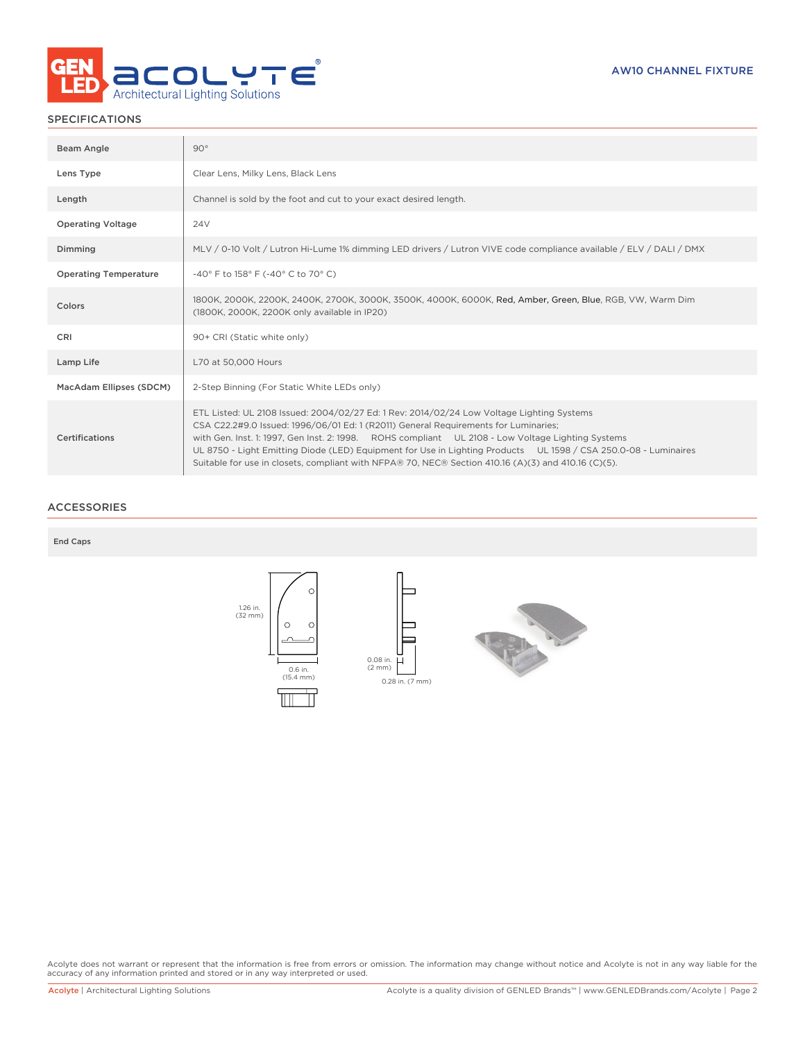

### SPECIFICATIONS

| Beam Angle                   | $90^{\circ}$                                                                                                                                                                                                                                                                                                                                                                                                                                                                                                    |
|------------------------------|-----------------------------------------------------------------------------------------------------------------------------------------------------------------------------------------------------------------------------------------------------------------------------------------------------------------------------------------------------------------------------------------------------------------------------------------------------------------------------------------------------------------|
| Lens Type                    | Clear Lens, Milky Lens, Black Lens                                                                                                                                                                                                                                                                                                                                                                                                                                                                              |
| Length                       | Channel is sold by the foot and cut to your exact desired length.                                                                                                                                                                                                                                                                                                                                                                                                                                               |
| <b>Operating Voltage</b>     | 24 <sub>V</sub>                                                                                                                                                                                                                                                                                                                                                                                                                                                                                                 |
| Dimming                      | MLV / 0-10 Volt / Lutron Hi-Lume 1% dimming LED drivers / Lutron VIVE code compliance available / ELV / DALI / DMX                                                                                                                                                                                                                                                                                                                                                                                              |
| <b>Operating Temperature</b> | -40° F to 158° F (-40° C to 70° C)                                                                                                                                                                                                                                                                                                                                                                                                                                                                              |
| Colors                       | 1800K, 2000K, 2200K, 2400K, 2700K, 3000K, 3500K, 4000K, 6000K, Red, Amber, Green, Blue, RGB, VW, Warm Dim<br>(1800K, 2000K, 2200K only available in IP20)                                                                                                                                                                                                                                                                                                                                                       |
| <b>CRI</b>                   | 90+ CRI (Static white only)                                                                                                                                                                                                                                                                                                                                                                                                                                                                                     |
| Lamp Life                    | L70 at 50,000 Hours                                                                                                                                                                                                                                                                                                                                                                                                                                                                                             |
| MacAdam Ellipses (SDCM)      | 2-Step Binning (For Static White LEDs only)                                                                                                                                                                                                                                                                                                                                                                                                                                                                     |
| <b>Certifications</b>        | ETL Listed: UL 2108 Issued: 2004/02/27 Ed: 1 Rev: 2014/02/24 Low Voltage Lighting Systems<br>CSA C22.2#9.0 Issued: 1996/06/01 Ed: 1 (R2011) General Requirements for Luminaries;<br>with Gen. Inst. 1: 1997, Gen Inst. 2: 1998. ROHS compliant UL 2108 - Low Voltage Lighting Systems<br>UL 8750 - Light Emitting Diode (LED) Equipment for Use in Lighting Products UL 1598 / CSA 250.0-08 - Luminaires<br>Suitable for use in closets, compliant with NFPA® 70, NEC® Section 410.16 (A)(3) and 410.16 (C)(5). |

### ACCESSORIES

End Caps



Acolyte does not warrant or represent that the information is free from errors or omission. The information may change without notice and Acolyte is not in any way liable for the<br>accuracy of any information printed and sto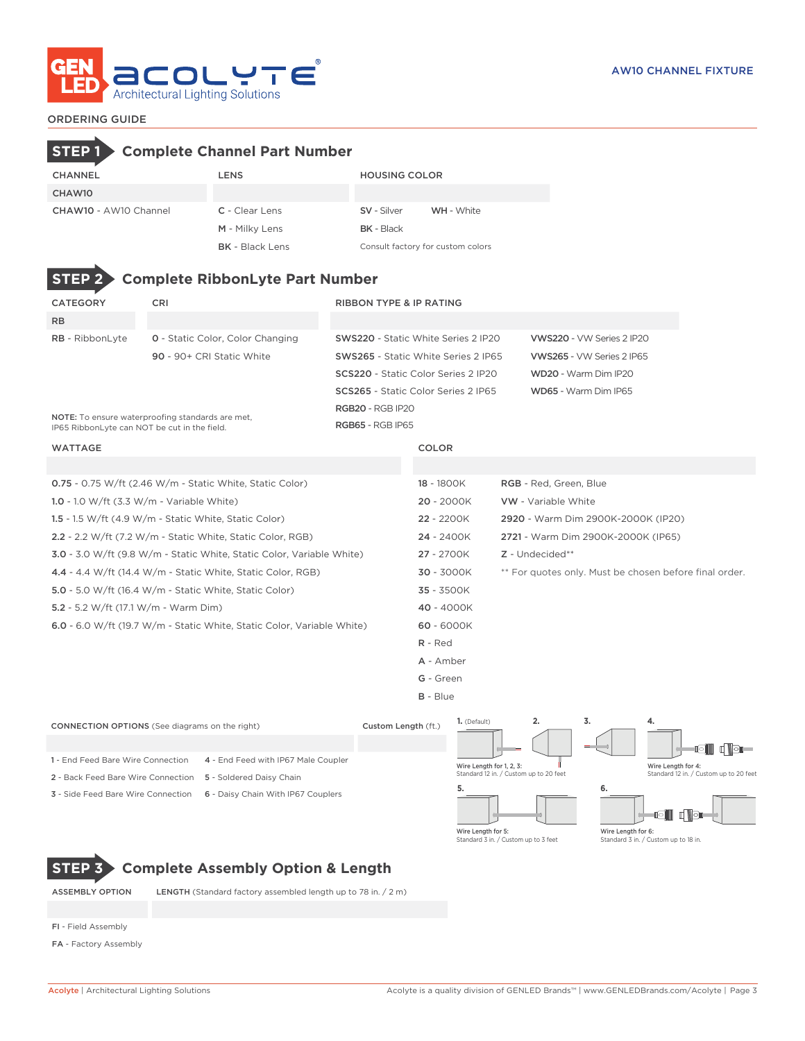

### ORDERING GUIDE

# **STEP 1 Complete Channel Part Number**

| <b>CHANNEL</b>        | <b>LENS</b>            | <b>HOUSING COLOR</b>              |            |  |
|-----------------------|------------------------|-----------------------------------|------------|--|
| CHAW10                |                        |                                   |            |  |
| CHAW10 - AW10 Channel | C - Clear Lens         | <b>SV</b> - Silver                | WH - White |  |
|                       | M - Milky Lens         | <b>BK</b> - Black                 |            |  |
|                       | <b>BK</b> - Black Lens | Consult factory for custom colors |            |  |

**Number** 

| <b>STEP 2&gt; Complete RibbonLyte Part Number</b> |                                         |                                    |  |  |  |  |  |  |  |
|---------------------------------------------------|-----------------------------------------|------------------------------------|--|--|--|--|--|--|--|
| <b>CATEGORY</b>                                   | CRI                                     | <b>RIBBON TYPE &amp; IP RATING</b> |  |  |  |  |  |  |  |
| <b>RB</b>                                         |                                         |                                    |  |  |  |  |  |  |  |
| <b>RB</b> - RibbonLyte                            | <b>0</b> - Static Color, Color Changing | <b>SWS220 - Static White Serie</b> |  |  |  |  |  |  |  |
|                                                   | 90 - 90+ CRI Static White               | <b>SWS265 - Static White Seri</b>  |  |  |  |  |  |  |  |
|                                                   |                                         | <b>SCS220 - Static Color Serie</b> |  |  |  |  |  |  |  |

| CATEGORY                                     | CRI.                                             | <b>RIBBON TYPE &amp; IP RATING</b>         |                           |
|----------------------------------------------|--------------------------------------------------|--------------------------------------------|---------------------------|
| RB.                                          |                                                  |                                            |                           |
| RB - RibbonLyte                              | <b>0</b> - Static Color, Color Changing          | <b>SWS220 - Static White Series 2 IP20</b> | VWS220 - VW Series 2 IP20 |
|                                              | 90 - 90+ CRI Static White                        | <b>SWS265 - Static White Series 2 IP65</b> | VWS265 - VW Series 2 IP65 |
|                                              |                                                  | <b>SCS220</b> - Static Color Series 2 IP20 | WD20 - Warm Dim IP20      |
|                                              |                                                  | <b>SCS265</b> - Static Color Series 2 IP65 | WD65 - Warm Dim IP65      |
|                                              |                                                  | <b>RGB20 - RGB IP20</b>                    |                           |
| IP65 Ribbonl yte can NOT be cut in the field | NOTE: To ensure waterproofing standards are met, | <b>RGB65 - RGB IP65</b>                    |                           |

NOTE: To ensure waterproofing standards are met, IP65 RibbonLyte can NOT be cut in the field.

### WATTAGE COLOR

| $0.75 - 0.75$ W/ft (2.46 W/m - Static White, Static Color) | 18 - 1800K | <b>RGB</b> - Red. Green. Blue |
|------------------------------------------------------------|------------|-------------------------------|
| 1.0 - 1.0 W/ft $(3.3 \text{ W/m} - \text{Variable White})$ | 20 - 2000K | <b>VW</b> - Variable White    |

- 1.5 1.5 W/ft (4.9 W/m Static White, Static Color) 22 2200K 2920 Warm Dim 2900K-2000K (IP20)
- 2.2 2.2 W/ft (7.2 W/m Static White, Static Color, RGB) 24 2400K 2721 Warm Dim 2900K-2000K (IP65)
- 3.0 3.0 W/ft (9.8 W/m Static White, Static Color, Variable White) 27 2700K Z Undecided\*\*
- 4.4 4.4 W/ft (14.4 W/m Static White, Static Color, RGB) 30 3000K \*\* For quotes only. Must be chosen before final order.
- 5.0 5.0 W/ft (16.4 W/m Static White, Static Color) 35 3500K
- 5.2 5.2 W/ft (17.1 W/m Warm Dim) 40 4000K
- 6.0 6.0 W/ft (19.7 W/m Static White, Static Color, Variable White) 60 6000K
	- R Red A - Amber
	- G Green
	- B Blue



# **STEP 3 Complete Assembly Option & Length**

ASSEMBLY OPTION LENGTH (Standard factory assembled length up to 78 in. / 2 m)

- FI Field Assembly
- FA Factory Assembly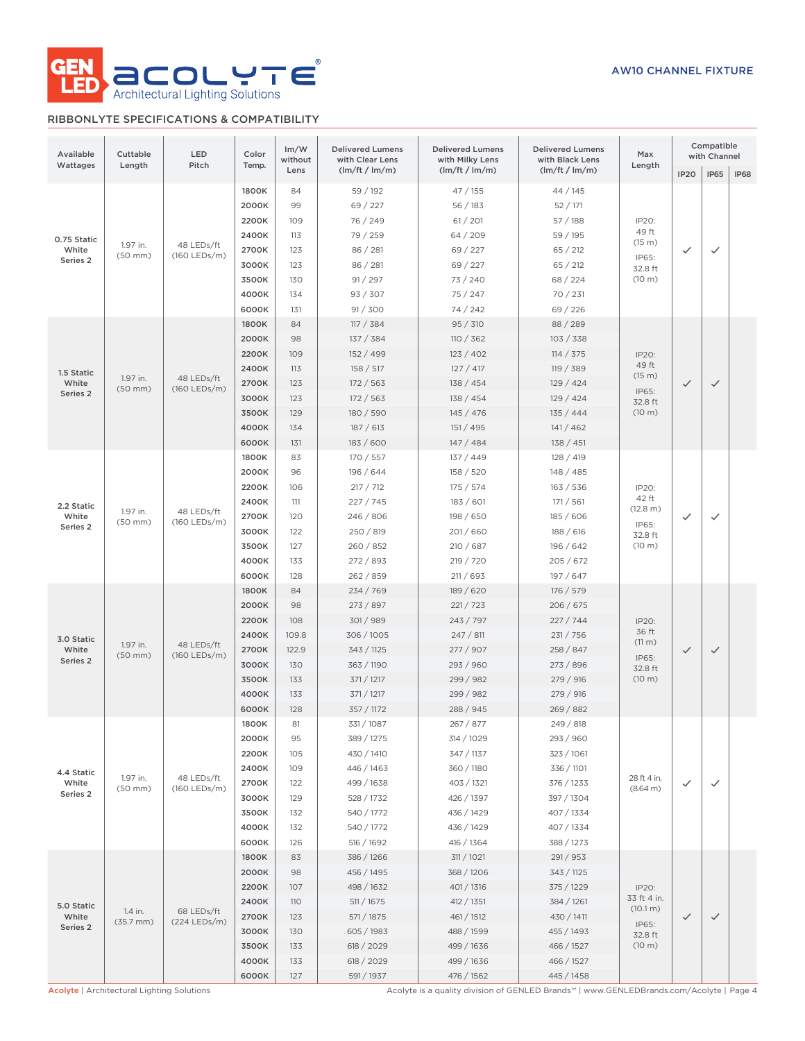

## RIBBONLYTE SPECIFICATIONS & COMPATIBILITY

| Available<br>Wattages                                                                                                                 | Cuttable<br>Length               | LED<br>Pitch               | Color<br>Temp. | Im/W<br>without<br>Lens | <b>Delivered Lumens</b><br>with Clear Lens<br>(lm/ft / lm/m) | <b>Delivered Lumens</b><br>with Milky Lens | <b>Delivered Lumens</b><br>with Black Lens | Max<br>Length           |                  | Compatible<br>with Channel |              |                  |              |              |  |  |  |       |     |            |           |           |                  |  |  |
|---------------------------------------------------------------------------------------------------------------------------------------|----------------------------------|----------------------------|----------------|-------------------------|--------------------------------------------------------------|--------------------------------------------|--------------------------------------------|-------------------------|------------------|----------------------------|--------------|------------------|--------------|--------------|--|--|--|-------|-----|------------|-----------|-----------|------------------|--|--|
|                                                                                                                                       |                                  |                            |                |                         |                                                              | (lm/ft / lm/m)                             | (lm/ft / lm/m)                             |                         | IP <sub>20</sub> | <b>IP65</b>                | <b>IP68</b>  |                  |              |              |  |  |  |       |     |            |           |           |                  |  |  |
|                                                                                                                                       |                                  |                            | 1800K          | 84                      | 59 / 192                                                     | 47 / 155                                   | 44 / 145                                   |                         |                  |                            |              |                  |              |              |  |  |  |       |     |            |           |           |                  |  |  |
|                                                                                                                                       |                                  |                            | 2000K          | 99                      | 69 / 227                                                     | 56/183                                     | 52/171                                     |                         |                  |                            |              |                  |              |              |  |  |  |       |     |            |           |           |                  |  |  |
|                                                                                                                                       |                                  |                            |                |                         | 2200K                                                        | 109                                        | 76 / 249                                   | 61 / 201                | 57/188           | IP20:                      |              |                  |              |              |  |  |  |       |     |            |           |           |                  |  |  |
| 0.75 Static<br>1.97 in.                                                                                                               |                                  | 48 LEDs/ft                 | 2400K          | 113                     | 79 / 259                                                     | 64/209                                     | 59 / 195                                   | 49 ft<br>(15 m)         |                  |                            |              |                  |              |              |  |  |  |       |     |            |           |           |                  |  |  |
| White                                                                                                                                 | $(50$ mm $)$                     | (160 LEDs/m)               | 2700K          | 123                     | 86 / 281                                                     | 69 / 227                                   | 65 / 212                                   | IP65:                   | $\checkmark$     | $\checkmark$               |              |                  |              |              |  |  |  |       |     |            |           |           |                  |  |  |
| Series 2                                                                                                                              |                                  | 3000K                      | 123            | 86 / 281                | 69 / 227                                                     | 65 / 212                                   | 32.8 ft                                    |                         |                  |                            |              |                  |              |              |  |  |  |       |     |            |           |           |                  |  |  |
|                                                                                                                                       |                                  | 3500K                      | 130            | 91 / 297                | 73 / 240                                                     | 68/224                                     | (10 m)                                     |                         |                  |                            |              |                  |              |              |  |  |  |       |     |            |           |           |                  |  |  |
|                                                                                                                                       |                                  |                            | 4000K          | 134                     | 93 / 307                                                     | 75 / 247                                   | 70 / 231                                   |                         |                  |                            |              |                  |              |              |  |  |  |       |     |            |           |           |                  |  |  |
|                                                                                                                                       |                                  |                            | 6000K          | 131                     | 91 / 300                                                     | 74 / 242                                   | 69 / 226                                   |                         |                  |                            |              |                  |              |              |  |  |  |       |     |            |           |           |                  |  |  |
|                                                                                                                                       |                                  |                            | 1800K          | 84                      | 117 / 384                                                    | 95 / 310                                   | 88 / 289                                   |                         |                  |                            |              |                  |              |              |  |  |  |       |     |            |           |           |                  |  |  |
|                                                                                                                                       |                                  |                            | 2000K          | 98                      | 137 / 384                                                    | 110 / 362                                  | 103 / 338                                  |                         |                  |                            |              |                  |              |              |  |  |  |       |     |            |           |           |                  |  |  |
|                                                                                                                                       |                                  |                            | 2200K          | 109                     | 152 / 499                                                    | 123 / 402                                  | 114 / 375                                  | IP20:                   |                  |                            |              |                  |              |              |  |  |  |       |     |            |           |           |                  |  |  |
| 1.5 Static                                                                                                                            |                                  |                            | 2400K          | 113                     | 158 / 517                                                    | 127/417                                    | 119 / 389                                  | 49 ft<br>(15 m)         |                  |                            |              |                  |              |              |  |  |  |       |     |            |           |           |                  |  |  |
| White                                                                                                                                 | 1.97 in.<br>$(50$ mm $)$         | 48 LEDs/ft<br>(160 LEDs/m) | 2700K          | 123                     | 172 / 563                                                    | 138 / 454                                  | 129 / 424                                  | IP65:                   | $\checkmark$     | $\checkmark$               |              |                  |              |              |  |  |  |       |     |            |           |           |                  |  |  |
| Series 2                                                                                                                              |                                  |                            | 3000K          | 123                     | 172 / 563                                                    | 138 / 454                                  | 129 / 424                                  | 32.8 ft                 |                  |                            |              |                  |              |              |  |  |  |       |     |            |           |           |                  |  |  |
|                                                                                                                                       |                                  |                            | 3500K          | 129                     | 180 / 590                                                    | 145 / 476                                  | 135 / 444                                  | (10 m)                  |                  |                            |              |                  |              |              |  |  |  |       |     |            |           |           |                  |  |  |
|                                                                                                                                       |                                  |                            | 4000K          | 134                     | 187/613                                                      | 151 / 495                                  | 141 / 462                                  |                         |                  |                            |              |                  |              |              |  |  |  |       |     |            |           |           |                  |  |  |
|                                                                                                                                       |                                  |                            | 6000K          | 131                     | 183 / 600                                                    | 147/484                                    | 138 / 451                                  |                         |                  |                            |              |                  |              |              |  |  |  |       |     |            |           |           |                  |  |  |
|                                                                                                                                       |                                  |                            | 1800K          | 83                      | 170 / 557                                                    | 137 / 449                                  | 128 / 419                                  |                         |                  |                            |              |                  |              |              |  |  |  |       |     |            |           |           |                  |  |  |
|                                                                                                                                       |                                  |                            | 2000K          | 96                      | 196 / 644                                                    | 158 / 520                                  | 148 / 485                                  |                         |                  |                            |              |                  |              |              |  |  |  |       |     |            |           |           |                  |  |  |
|                                                                                                                                       |                                  |                            | 2200K          | 106                     | 217 / 712                                                    | 175 / 574                                  | 163 / 536                                  | IP20:                   |                  |                            |              |                  |              |              |  |  |  |       |     |            |           |           |                  |  |  |
| 2.2 Static<br>1.97 in.<br>White<br>$(50$ mm $)$<br>Series 2                                                                           |                                  |                            | 2400K          | 111                     | 227 / 745                                                    | 183 / 601                                  | 171 / 561                                  | 42 ft<br>(12.8 m)       |                  |                            |              |                  |              |              |  |  |  |       |     |            |           |           |                  |  |  |
|                                                                                                                                       |                                  | 48 LEDs/ft<br>(160 LEDs/m) | 2700K          | 120                     | 246 / 806                                                    | 198 / 650                                  | 185 / 606                                  |                         | $\checkmark$     | ✓                          |              |                  |              |              |  |  |  |       |     |            |           |           |                  |  |  |
|                                                                                                                                       |                                  |                            | 3000K          | 122                     | 250 / 819                                                    | 201/660                                    | 188 / 616                                  | IP65:<br>32.8 ft        |                  |                            |              |                  |              |              |  |  |  |       |     |            |           |           |                  |  |  |
|                                                                                                                                       |                                  |                            | 3500K          | 127                     | 260 / 852                                                    | 210/687                                    | 196 / 642                                  | (10 m)                  |                  |                            |              |                  |              |              |  |  |  |       |     |            |           |           |                  |  |  |
|                                                                                                                                       |                                  |                            | 4000K          | 133                     | 272 / 893                                                    | 219 / 720                                  | 205/672                                    |                         |                  |                            |              |                  |              |              |  |  |  |       |     |            |           |           |                  |  |  |
|                                                                                                                                       |                                  |                            | 6000K          | 128                     | 262 / 859                                                    | 211 / 693                                  | 197 / 647                                  |                         |                  |                            |              |                  |              |              |  |  |  |       |     |            |           |           |                  |  |  |
|                                                                                                                                       |                                  |                            | 1800K          | 84                      | 234 / 769                                                    | 189 / 620                                  | 176 / 579                                  |                         |                  |                            |              |                  |              |              |  |  |  |       |     |            |           |           |                  |  |  |
|                                                                                                                                       |                                  | 48 LEDs/ft<br>(160 LEDs/m) |                |                         |                                                              |                                            | 2000K                                      | 98                      | 273 / 897        | 221 / 723                  | 206 / 675    |                  |              |              |  |  |  |       |     |            |           |           |                  |  |  |
|                                                                                                                                       |                                  |                            |                | 2200K                   | 108                                                          | 301/989                                    | 243 / 797                                  | 227/744                 | IP20:            |                            |              |                  |              |              |  |  |  |       |     |            |           |           |                  |  |  |
| 3.0 Static                                                                                                                            |                                  |                            |                |                         |                                                              |                                            |                                            |                         | 2400K            | 109.8                      | 306 / 1005   | 247 / 811        | 231 / 756    | 36 ft        |  |  |  |       |     |            |           |           |                  |  |  |
| White                                                                                                                                 | 1.97 in.<br>$(50$ mm $)$         |                            |                |                         | 2700K                                                        | 122.9                                      | 343 / 1125                                 | 277 / 907               | 258 / 847        | (11 m)                     | $\checkmark$ | $\checkmark$     |              |              |  |  |  |       |     |            |           |           |                  |  |  |
| Series 2                                                                                                                              |                                  |                            |                |                         |                                                              |                                            |                                            |                         |                  |                            |              |                  |              |              |  |  |  | 3000K | 130 | 363 / 1190 | 293 / 960 | 273 / 896 | IP65:<br>32.8 ft |  |  |
|                                                                                                                                       |                                  |                            |                | 3500K                   | 133                                                          | 371 / 1217                                 | 299 / 982                                  | 279 / 916               | (10 m)           |                            |              |                  |              |              |  |  |  |       |     |            |           |           |                  |  |  |
|                                                                                                                                       |                                  |                            |                |                         |                                                              | 4000K                                      | 133                                        | 371 / 1217              | 299 / 982        | 279 / 916                  |              |                  |              |              |  |  |  |       |     |            |           |           |                  |  |  |
|                                                                                                                                       |                                  |                            | 6000K          | 128                     | 357 / 1172                                                   | 288 / 945                                  | 269 / 882                                  |                         |                  |                            |              |                  |              |              |  |  |  |       |     |            |           |           |                  |  |  |
|                                                                                                                                       |                                  |                            | 1800K          | 81                      | 331/1087                                                     | 267 / 877                                  | 249 / 818                                  |                         |                  |                            |              |                  |              |              |  |  |  |       |     |            |           |           |                  |  |  |
|                                                                                                                                       |                                  |                            | 2000K          | 95                      | 389 / 1275                                                   | 314 / 1029                                 | 293 / 960                                  |                         |                  |                            |              |                  |              |              |  |  |  |       |     |            |           |           |                  |  |  |
|                                                                                                                                       |                                  |                            | 2200K          | 105                     | 430 / 1410                                                   | 347 / 1137                                 | 323 / 1061                                 |                         |                  |                            |              |                  |              |              |  |  |  |       |     |            |           |           |                  |  |  |
| 4.4 Static                                                                                                                            |                                  |                            | 2400K          | 109                     | 446 / 1463                                                   | 360 / 1180                                 | 336 / 1101                                 |                         |                  |                            |              |                  |              |              |  |  |  |       |     |            |           |           |                  |  |  |
| White                                                                                                                                 | 1.97 in.<br>$(50$ mm $)$         | 48 LEDs/ft<br>(160 LEDs/m) | 2700K          | 122                     | 499 / 1638                                                   | 403 / 1321                                 | 376 / 1233                                 | 28 ft 4 in.<br>(8.64 m) | $\checkmark$     | $\checkmark$               |              |                  |              |              |  |  |  |       |     |            |           |           |                  |  |  |
| Series 2                                                                                                                              |                                  |                            | 3000K          | 129                     | 528 / 1732                                                   | 426 / 1397                                 | 397 / 1304                                 |                         |                  |                            |              |                  |              |              |  |  |  |       |     |            |           |           |                  |  |  |
|                                                                                                                                       |                                  |                            | 3500K          | 132                     | 540 / 1772                                                   | 436 / 1429                                 | 407 / 1334                                 |                         |                  |                            |              |                  |              |              |  |  |  |       |     |            |           |           |                  |  |  |
|                                                                                                                                       |                                  |                            | 4000K          | 132                     | 540 / 1772                                                   | 436 / 1429                                 | 407 / 1334                                 |                         |                  |                            |              |                  |              |              |  |  |  |       |     |            |           |           |                  |  |  |
|                                                                                                                                       |                                  |                            | 6000K          | 126                     | 516 / 1692                                                   | 416 / 1364                                 | 388 / 1273                                 |                         |                  |                            |              |                  |              |              |  |  |  |       |     |            |           |           |                  |  |  |
|                                                                                                                                       |                                  |                            | 1800K          | 83                      | 386 / 1266                                                   | 311 / 1021                                 | 291 / 953                                  |                         |                  |                            |              |                  |              |              |  |  |  |       |     |            |           |           |                  |  |  |
|                                                                                                                                       |                                  |                            | 2000K          | 98                      | 456 / 1495                                                   | 368 / 1206                                 | 343 / 1125                                 |                         |                  |                            |              |                  |              |              |  |  |  |       |     |            |           |           |                  |  |  |
|                                                                                                                                       |                                  |                            | 2200K          | 107                     | 498 / 1632                                                   | 401 / 1316                                 | 375 / 1229                                 | IP20:                   |                  |                            |              |                  |              |              |  |  |  |       |     |            |           |           |                  |  |  |
| 5.0 Static                                                                                                                            |                                  |                            | 2400K          | <b>110</b>              | 511 / 1675                                                   | 412 / 1351                                 | 384 / 1261                                 | 33 ft 4 in.             |                  |                            |              |                  |              |              |  |  |  |       |     |            |           |           |                  |  |  |
| White                                                                                                                                 | 1.4 in.<br>$(35.7 \, \text{mm})$ | 68 LEDs/ft<br>(224 LEDs/m) |                |                         |                                                              |                                            | 2700K                                      | 123                     | 571 / 1875       | 461 / 1512                 | 430 / 1411   | (10.1 m)         | $\checkmark$ | $\checkmark$ |  |  |  |       |     |            |           |           |                  |  |  |
| Series 2                                                                                                                              |                                  |                            |                |                         |                                                              |                                            | 3000K                                      | 130                     | 605 / 1983       | 488 / 1599                 | 455 / 1493   | IP65:<br>32.8 ft |              |              |  |  |  |       |     |            |           |           |                  |  |  |
|                                                                                                                                       |                                  |                            | 3500K          | 133                     | 618 / 2029                                                   | 499 / 1636                                 | 466 / 1527                                 | (10 m)                  |                  |                            |              |                  |              |              |  |  |  |       |     |            |           |           |                  |  |  |
|                                                                                                                                       |                                  |                            |                |                         |                                                              |                                            |                                            |                         | 4000K            | 133                        | 618 / 2029   | 499 / 1636       | 466 / 1527   |              |  |  |  |       |     |            |           |           |                  |  |  |
|                                                                                                                                       |                                  |                            | 6000K          | 127                     | 591 / 1937                                                   | 476 / 1562                                 | 445 / 1458                                 |                         |                  |                            |              |                  |              |              |  |  |  |       |     |            |           |           |                  |  |  |
| Acolyte is a quality division of GENLED Brands™   www.GENLEDBrands.com/Acolyte   Page 4<br>Acolyte   Architectural Lighting Solutions |                                  |                            |                |                         |                                                              |                                            |                                            |                         |                  |                            |              |                  |              |              |  |  |  |       |     |            |           |           |                  |  |  |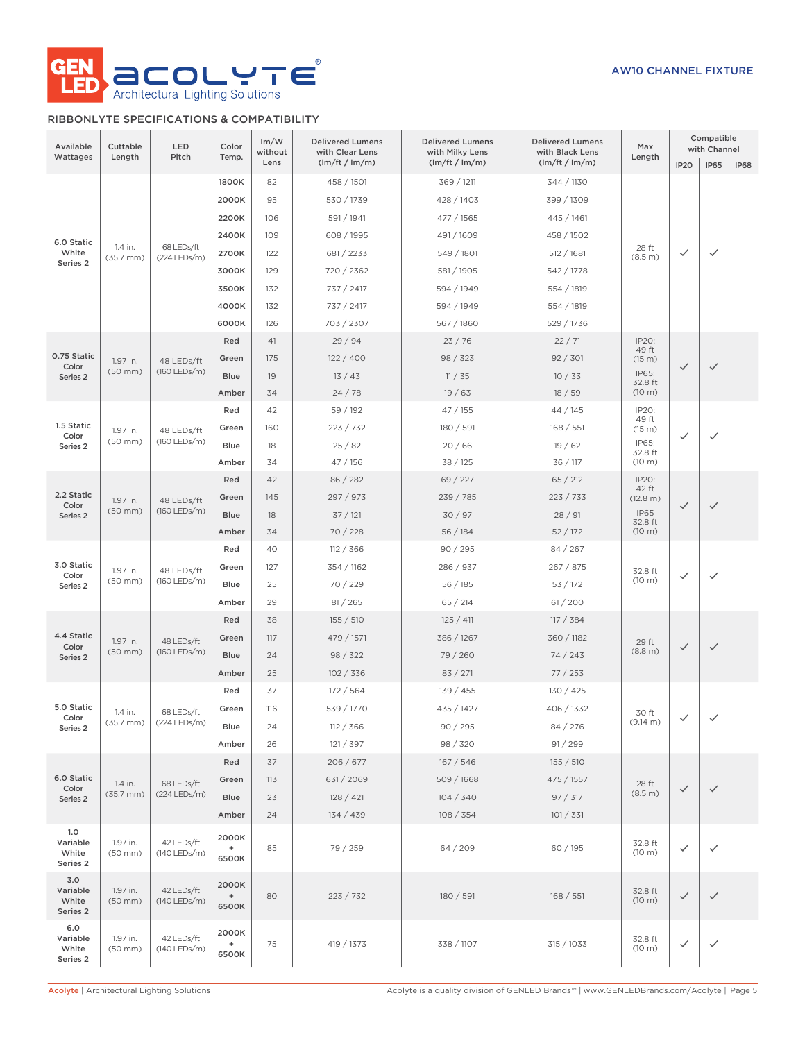

## RIBBONLYTE SPECIFICATIONS & COMPATIBILITY

| Available<br>Wattages                      | Cuttable<br>Length        | LED<br>Pitch               | Color<br>Temp.                       | Im/W<br>without<br>Lens | <b>Delivered Lumens</b><br>with Clear Lens<br>(lm/ft / lm/m) | <b>Delivered Lumens</b><br>with Milky Lens<br>(lm/ft / lm/m) | <b>Delivered Lumens</b><br>with Black Lens<br>(lm/ft / lm/m) | Max<br>Length                                                  | IP <sub>20</sub> | Compatible<br>with Channel<br><b>IP65</b> | <b>IP68</b> |
|--------------------------------------------|---------------------------|----------------------------|--------------------------------------|-------------------------|--------------------------------------------------------------|--------------------------------------------------------------|--------------------------------------------------------------|----------------------------------------------------------------|------------------|-------------------------------------------|-------------|
|                                            |                           |                            | 1800K<br>2000K                       | 82<br>95                | 458 / 1501<br>530 / 1739                                     | 369 / 1211<br>428 / 1403                                     | 344 / 1130<br>399 / 1309                                     |                                                                |                  |                                           |             |
| 6.0 Static<br>White                        | 1.4 in.<br>$(35.7$ mm $)$ | 68 LEDs/ft<br>(224 LEDs/m) | 2200K<br>2400K<br>2700K              | 106<br>109<br>122       | 591 / 1941<br>608 / 1995<br>681 / 2233                       | 477 / 1565<br>491 / 1609<br>549 / 1801                       | 445 / 1461<br>458 / 1502<br>512 / 1681                       | 28 ft<br>(8.5 m)                                               | ✓                | $\checkmark$                              |             |
| Series <sub>2</sub>                        |                           |                            | 3000K<br>3500K<br>4000K              | 129<br>132<br>132       | 720 / 2362<br>737 / 2417<br>737 / 2417                       | 581 / 1905<br>594 / 1949<br>594 / 1949                       | 542 / 1778<br>554 / 1819<br>554 / 1819                       |                                                                |                  |                                           |             |
| 0.75 Static                                |                           |                            | 6000K<br>Red                         | 126<br>41               | 703 / 2307<br>29/94                                          | 567 / 1860<br>23/76                                          | 529 / 1736<br>22/71                                          | IP20:<br>49 ft                                                 |                  |                                           |             |
| Color<br>Series <sub>2</sub>               | 1.97 in.<br>$(50$ mm $)$  | 48 LEDs/ft<br>(160 LEDs/m) | Green<br><b>Blue</b><br>Amber        | 175<br>19<br>34         | 122/400<br>13/43<br>24/78                                    | 98 / 323<br>11 / 35<br>19/63                                 | 92 / 301<br>10/33<br>18/59                                   | (15 m)<br>IP65:<br>32.8 ft<br>(10 m)                           | $\checkmark$     | $\checkmark$                              |             |
| 1.5 Static<br>Color<br>Series 2            | 1.97 in.<br>$(50$ mm $)$  | 48 LEDs/ft<br>(160 LEDs/m) | Red<br>Green<br><b>Blue</b><br>Amber | 42<br>160<br>18<br>34   | 59 / 192<br>223 / 732<br>25/82<br>47/156                     | 47 / 155<br>180 / 591<br>20/66<br>38 / 125                   | 44 / 145<br>168 / 551<br>19/62<br>36 / 117                   | IP20:<br>49 ft<br>(15 m)<br>IP65:<br>32.8 ft<br>(10 m)         | ✓                | $\checkmark$                              |             |
| 2.2 Static<br>Color<br>Series <sub>2</sub> | 1.97 in.<br>$(50$ mm $)$  | 48 LEDs/ft<br>(160 LEDs/m) | Red<br>Green<br><b>Blue</b><br>Amber | 42<br>145<br>18<br>34   | 86 / 282<br>297 / 973<br>37/121<br>70 / 228                  | 69 / 227<br>239 / 785<br>30/97<br>56 / 184                   | 65 / 212<br>223 / 733<br>28/91<br>52/172                     | IP20:<br>42 ft<br>(12.8 m)<br><b>IP65</b><br>32.8 ft<br>(10 m) | $\checkmark$     | $\checkmark$                              |             |
| 3.0 Static<br>Color<br>Series <sub>2</sub> | 1.97 in.<br>$(50$ mm $)$  | 48 LEDs/ft<br>(160 LEDs/m) | Red<br>Green<br>Blue<br>Amber        | 40<br>127<br>25<br>29   | 112 / 366<br>354 / 1162<br>70 / 229<br>81 / 265              | 90 / 295<br>286 / 937<br>56/185<br>65/214                    | 84 / 267<br>267 / 875<br>53/172<br>61/200                    | 32.8 ft<br>(10 m)                                              | ✓                | $\checkmark$                              |             |
| 4.4 Static<br>Color<br>Series <sub>2</sub> | 1.97 in.<br>$(50$ mm $)$  | 48 LEDs/ft<br>(160 LEDs/m) | Red<br>Green<br><b>Blue</b><br>Amber | 38<br>117<br>24<br>25   | 155 / 510<br>479 / 1571<br>98 / 322<br>102 / 336             | 125 / 411<br>386 / 1267<br>79 / 260<br>83 / 271              | 117 / 384<br>360 / 1182<br>74/243<br>77/253                  | 29 ft<br>(8.8 m)                                               | $\checkmark$     | $\checkmark$                              |             |
| 5.0 Static<br>Color<br>Series 2            | 1.4 in.<br>$(35.7$ mm $)$ | 68 LEDs/ft<br>(224 LEDs/m) | Red<br>Green<br>Blue<br>Amber        | 37<br>116<br>24<br>26   | 172/564<br>539 / 1770<br>112 / 366<br>121 / 397              | 139 / 455<br>435 / 1427<br>90 / 295<br>98 / 320              | 130 / 425<br>406 / 1332<br>84 / 276<br>91 / 299              | 30 ft<br>(9.14 m)                                              | ✓                | $\checkmark$                              |             |
| 6.0 Static<br>Color<br>Series 2            | 1.4 in.<br>$(35.7$ mm $)$ | 68 LEDs/ft<br>(224 LEDs/m) | Red<br>Green<br><b>Blue</b><br>Amber | 37<br>113<br>23<br>24   | 206/677<br>631 / 2069<br>128 / 421<br>134 / 439              | 167/546<br>509 / 1668<br>104 / 340<br>108 / 354              | 155 / 510<br>475 / 1557<br>97 / 317<br>101 / 331             | 28 ft<br>(8.5 m)                                               | $\checkmark$     | $\checkmark$                              |             |
| 1.0<br>Variable<br>White<br>Series 2       | 1.97 in.<br>$(50$ mm $)$  | 42 LEDs/ft<br>(140 LEDs/m) | 2000K<br>$\ddot{}$<br>6500K          | 85                      | 79 / 259                                                     | 64/209                                                       | 60 / 195                                                     | 32.8 ft<br>(10 m)                                              | ✓                | $\checkmark$                              |             |
| 3.0<br>Variable<br>White<br>Series 2       | 1.97 in.<br>$(50$ mm $)$  | 42 LEDs/ft<br>(140 LEDs/m) | 2000K<br>$^{\mathrm{+}}$<br>6500K    | 80                      | 223 / 732                                                    | 180 / 591                                                    | 168 / 551                                                    | 32.8 ft<br>(10 m)                                              | $\checkmark$     | $\checkmark$                              |             |
| 6.0<br>Variable<br>White<br>Series 2       | 1.97 in.<br>$(50$ mm $)$  | 42 LEDs/ft<br>(140 LEDs/m) | 2000K<br>$\ddot{}$<br>6500K          | 75                      | 419 / 1373                                                   | 338 / 1107                                                   | 315 / 1033                                                   | 32.8 ft<br>(10 m)                                              | $\checkmark$     | $\checkmark$                              |             |

Acolyte | Architectural Lighting Solutions Acolyte is a quality division of GENLED Brands™ | www.GENLEDBrands.com/Acolyte | Page 5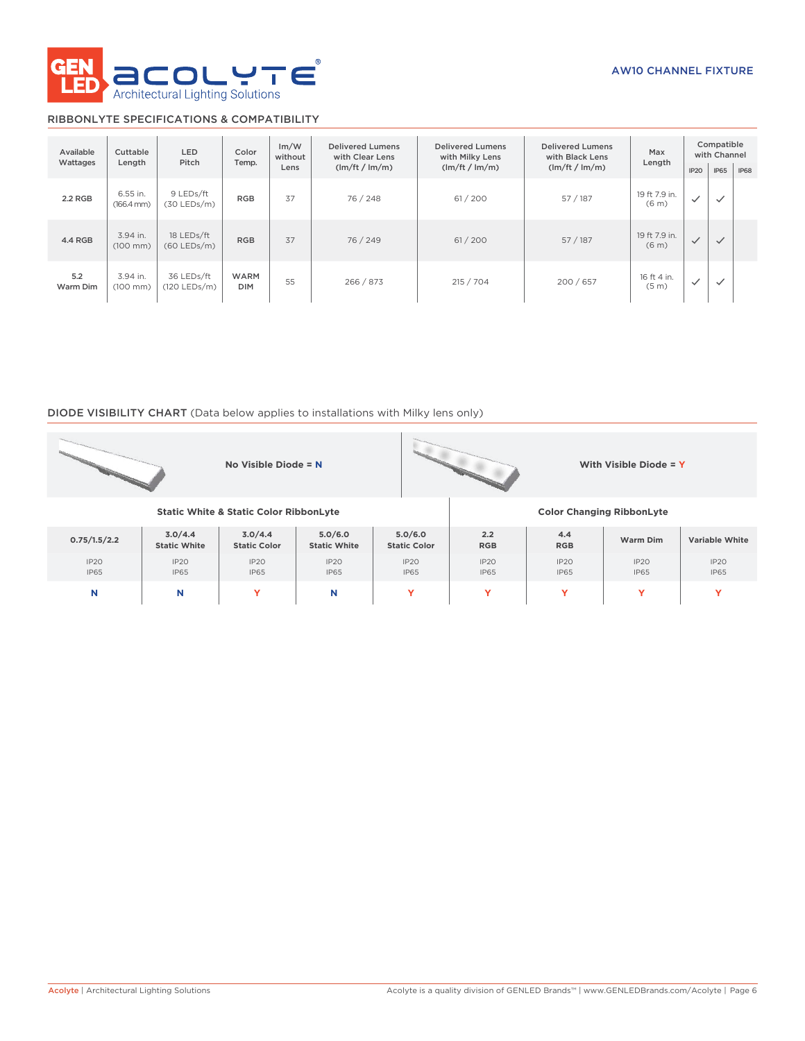

### RIBBONLYTE SPECIFICATIONS & COMPATIBILITY

| Available<br>Wattages | Cuttable<br>Length                 | <b>LED</b><br>Pitch          | Color<br>Temp.            | Im/W<br>Delivered Lumens<br>without<br>with Clear Lens<br>(lm/ft / lm/m)<br>Lens |           | Delivered Lumens<br>with Milky Lens<br>(lm/ft / lm/m) | Delivered Lumens<br>with Black Lens<br>(lm/ft / lm/m) | Max<br>Length                      |              | Compatible<br>with Channel |             |
|-----------------------|------------------------------------|------------------------------|---------------------------|----------------------------------------------------------------------------------|-----------|-------------------------------------------------------|-------------------------------------------------------|------------------------------------|--------------|----------------------------|-------------|
|                       |                                    |                              |                           |                                                                                  |           |                                                       |                                                       |                                    | IP2O         | <b>IP65</b>                | <b>IP68</b> |
| 2.2 RGB               | 6.55 in.<br>$(166.4 \, \text{mm})$ | 9 LEDs/ft<br>$(30$ LEDs/m)   | <b>RGB</b>                | 37                                                                               | 76 / 248  | 61 / 200                                              | 57 / 187                                              | 19 ft 7.9 in.<br>(6 <sub>m</sub> ) | $\checkmark$ | $\checkmark$               |             |
| 4.4 RGB               | 3.94 in.<br>$(100$ mm)             | 18 LEDs/ft<br>$(60$ LEDs/m)  | <b>RGB</b>                | 37                                                                               | 76 / 249  | 61/200                                                | 57/187                                                | 19 ft 7.9 in.<br>(6 <sub>m</sub> ) | $\checkmark$ | $\checkmark$               |             |
| 5.2<br>Warm Dim       | 3.94 in.<br>$(100$ mm $)$          | 36 LEDs/ft<br>$(120$ LEDs/m) | <b>WARM</b><br><b>DIM</b> | 55                                                                               | 266 / 873 | 215 / 704                                             | 200/657                                               | 16 ft 4 in.<br>(5 <sub>m</sub> )   | $\checkmark$ | $\checkmark$               |             |

### DIODE VISIBILITY CHART (Data below applies to installations with Milky lens only)

|                     |                                | No Visible Diode = $N$           |                                |                                |                     |                     | With Visible Diode = Y |                       |
|---------------------|--------------------------------|----------------------------------|--------------------------------|--------------------------------|---------------------|---------------------|------------------------|-----------------------|
|                     |                                | <b>Color Changing RibbonLyte</b> |                                |                                |                     |                     |                        |                       |
| 0.75/1.5/2.2        | 3.0/4.4<br><b>Static White</b> | 3.0/4.4<br><b>Static Color</b>   | 5.0/6.0<br><b>Static White</b> | 5.0/6.0<br><b>Static Color</b> | 2.2<br><b>RGB</b>   | 4.4<br><b>RGB</b>   | <b>Warm Dim</b>        | <b>Variable White</b> |
| IP20<br><b>IP65</b> | IP20<br><b>IP65</b>            | IP20<br><b>IP65</b>              | IP20<br><b>IP65</b>            | IP20<br><b>IP65</b>            | IP20<br><b>IP65</b> | IP20<br><b>IP65</b> | IP20<br><b>IP65</b>    | IP20<br><b>IP65</b>   |
| N                   | N                              | Y                                | N                              | Y                              | Y                   | Y                   | Y                      | v                     |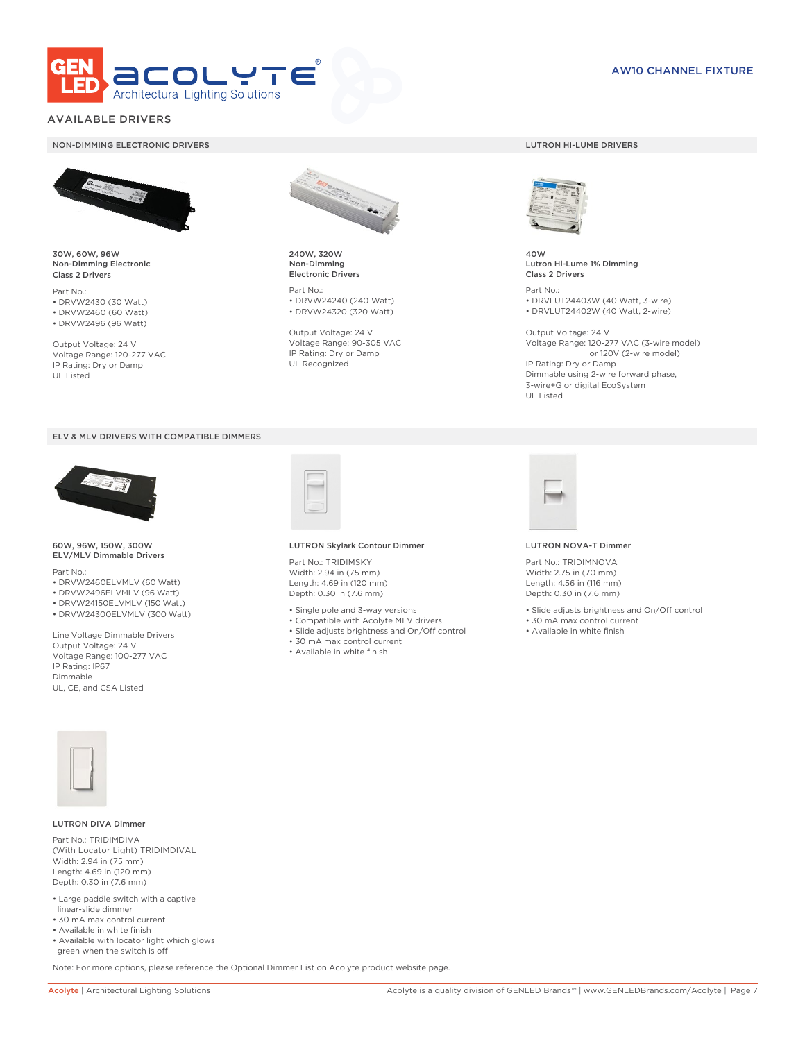

### AVAILABLE DRIVERS

#### NON-DIMMING ELECTRONIC DRIVERS LUTRON HI-LUME DRIVERS



30W, 60W, 96W Non-Dimming Electronic Class 2 Drivers

Part No.: • DRVW2430 (30 Watt) • DRVW2460 (60 Watt)

• DRVW2496 (96 Watt)

Output Voltage: 24 V Voltage Range: 120-277 VAC IP Rating: Dry or Damp UL Listed





60W, 96W, 150W, 300W ELV/MLV Dimmable Drivers

Part No.:

- DRVW2460ELVMLV (60 Watt)
- DRVW2496ELVMLV (96 Watt)
- DRVW24150ELVMLV (150 Watt) • DRVW24300ELVMLV (300 Watt)

Line Voltage Dimmable Drivers Output Voltage: 24 V Voltage Range: 100-277 VAC IP Rating: IP67 Dimmable UL, CE, and CSA Listed



240W, 320W Non-Dimming Electronic Drivers

Part No.: • DRVW24240 (240 Watt) • DRVW24320 (320 Watt)

Output Voltage: 24 V Voltage Range: 90-305 VAC IP Rating: Dry or Damp UL Recognized



40W Lutron Hi-Lume 1% Dimming Class 2 Drivers

Part No.: • DRVLUT24403W (40 Watt, 3-wire) • DRVLUT24402W (40 Watt, 2-wire)

Output Voltage: 24 V Voltage Range: 120-277 VAC (3-wire model) or 120V (2-wire model) IP Rating: Dry or Damp Dimmable using 2-wire forward phase, 3-wire+G or digital EcoSystem UL Listed



#### LUTRON Skylark Contour Dimmer

Part No.: TRIDIMSKY Width: 2.94 in (75 mm) Length: 4.69 in (120 mm) Depth: 0.30 in (7.6 mm)

- Single pole and 3-way versions
- Compatible with Acolyte MLV drivers
- Slide adjusts brightness and On/Off control
- 30 mA max control current
- Available in white finish



#### LUTRON NOVA-T Dimmer

Part No.: TRIDIMNOVA Width: 2.75 in (70 mm) Length: 4.56 in (116 mm) Depth: 0.30 in (7.6 mm)

- Slide adjusts brightness and On/Off control
- 30 mA max control current
- Available in white finish



#### LUTRON DIVA Dimmer

Part No.: TRIDIMDIVA (With Locator Light) TRIDIMDIVAL Width: 2.94 in (75 mm) Length: 4.69 in (120 mm) Depth: 0.30 in (7.6 mm)

- Large paddle switch with a captive linear-slide dimmer
- 30 mA max control current
- Available in white finish
- Available with locator light which glows green when the switch is off

Note: For more options, please reference the Optional Dimmer List on Acolyte product website page.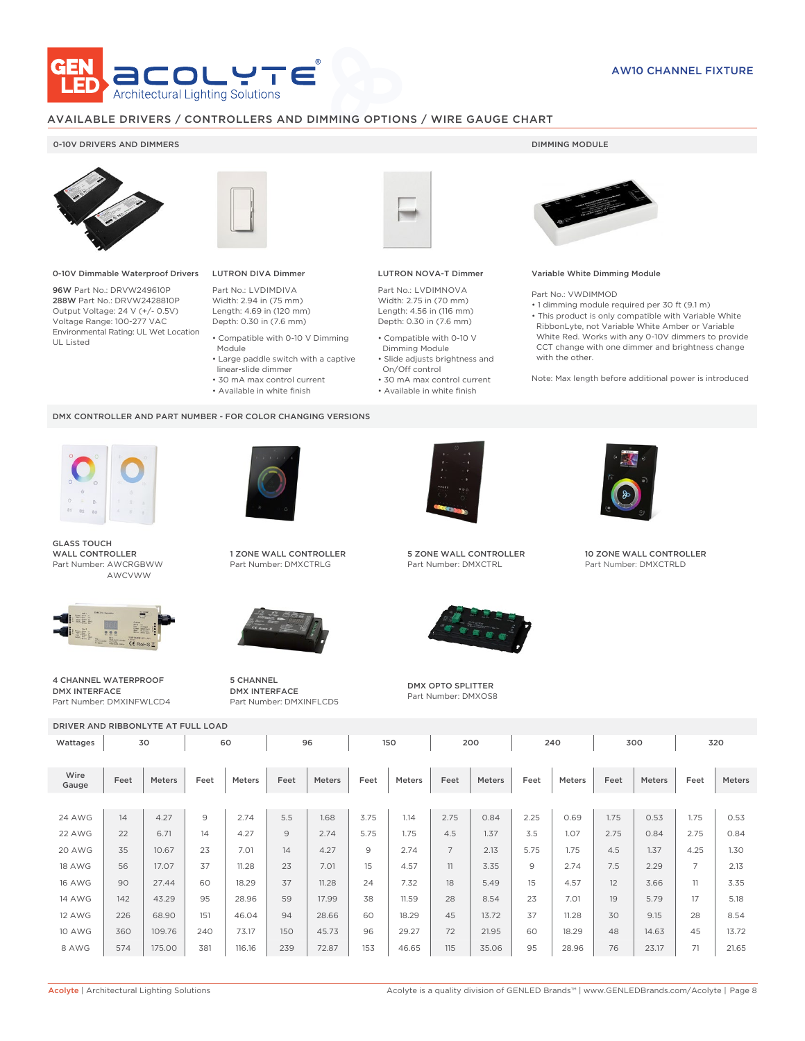

### AVAILABLE DRIVERS / CONTROLLERS AND DIMMING OPTIONS / WIRE GAUGE CHART

### 0-10V DRIVERS AND DIMMERS **DIMMING MODULE**



0-10V Dimmable Waterproof Drivers

96W Part No.: DRVW249610P 288W Part No.: DRVW2428810P Output Voltage: 24 V (+/- 0.5V) Voltage Range: 100-277 VAC Environmental Rating: UL Wet Location UL Listed



## LUTRON DIVA Dimmer

Part No.: LVDIMDIVA Width: 2.94 in (75 mm) Length: 4.69 in (120 mm) Depth: 0.30 in (7.6 mm)

- Compatible with 0-10 V Dimming Module
- Large paddle switch with a captive
- linear-slide dimmer • 30 mA max control current
- 
- Available in white finish

#### DMX CONTROLLER AND PART NUMBER - FOR COLOR CHANGING VERSIONS



GLASS TOUCH WALL CONTROLLER Part Number: AWCRGBWW AWCVWW



4 CHANNEL WATERPROOF DMX INTERFACE Part Number: DMXINFWLCD4



1 ZONE WALL CONTROLLER Part Number: DMXCTRLG



5 CHANNEL DMX INTERFACE Part Number: DMXINFLCD5



### LUTRON NOVA-T Dimmer

Part No.: LVDIMNOVA Width: 2.75 in (70 mm) Length: 4.56 in (116 mm) Depth: 0.30 in (7.6 mm)

- Compatible with 0-10 V Dimming Module
- Slide adjusts brightness and On/Off control
- 30 mA max control current • Available in white finish
	-



#### Variable White Dimming Module

Part No.: VWDIMMOD

• 1 dimming module required per 30 ft (9.1 m) • This product is only compatible with Variable White RibbonLyte, not Variable White Amber or Variable White Red. Works with any 0-10V dimmers to provide CCT change with one dimmer and brightness change with the other.

Note: Max length before additional power is introduced



5 ZONE WALL CONTROLLER Part Number: DMXCTRL



DMX OPTO SPLITTER Part Number: DMXOS8



10 ZONE WALL CONTROLLER Part Number: DMXCTRLD

DRIVER AND RIBBONLYTE AT FULL LOAD Wattages 30 | 60 | 96 | 150 | 200 | 240 | 300 | 320 Wire Gauge Feet Meters Feet Meters Feet Meters Feet Meters Feet Meters Feet Meters Feet Meters Feet Meters 24 AWG | 14 | 4.27 | 9 | 2.74 | 5.5 | 1.68 | 3.75 | 1.14 | 2.75 | 0.84 | 2.25 | 0.69 | 1.75 | 0.53 | 1.75 | 0.53 22 AWG | 22 | 6.71 | 14 | 4.27 | 9 | 2.74 | 5.75 | 1.75 | 4.5 | 1.37 | 3.5 | 1.07 | 2.75 | 0.84 | 2.75 | 0.84 20 AWG | 35 | 10.67 | 23 | 7.01 | 14 | 4.27 | 9 | 2.74 | 7 | 2.13 | 5.75 | 1.75 | 4.5 | 1.37 | 4.25 | 1.30 18 AWG | 56 | 17.07 | 37 | 11.28 | 23 | 7.01 | 15 | 4.57 | 11 | 3.35 | 9 | 2.74 | 7.5 | 2.29 | 7 | 2.13 16 AWG | 90 | 27.44 | 60 | 18.29 | 37 | 11.28 | 24 | 7.32 | 18 | 5.49 | 15 | 4.57 | 12 | 3.66 | 11 | 3.35 14 AWG | 142 | 43.29 | 95 | 28.96 | 59 | 17.99 | 38 | 11.59 | 28 | 8.54 | 23 | 7.01 | 19 | 5.79 | 17 | 5.18 12 AWG | 226 | 68.90 | 151 | 46.04 | 94 | 28.66 | 60 | 18.29 | 45 | 13.72 | 37 | 11.28 | 30 | 9.15 | 28 | 8.54 10 AWG | 360 | 109.76 | 240 | 73.17 | 150 | 45.73 | 96 | 29.27 | 72 | 21.95 | 60 | 18.29 | 48 | 14.63 | 45 | 13.72 8 AWG | 574 | 175.00 | 381 | 116.16 | 239 | 72.87 | 153 | 46.65 | 115 | 35.06 | 95 | 28.96 | 76 | 23.17 | 71 | 21.65